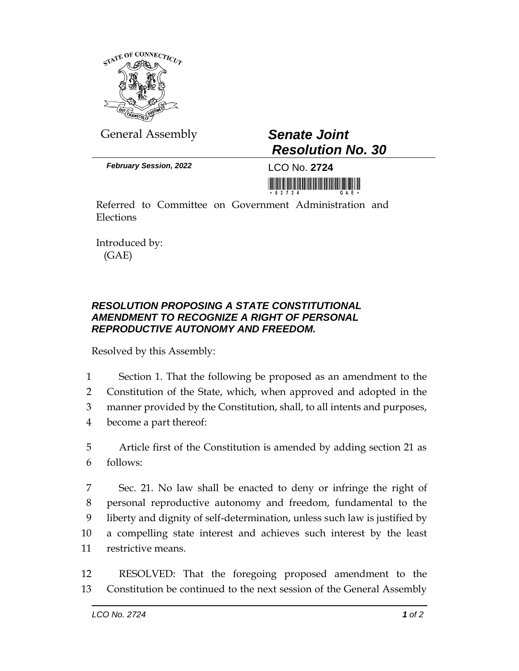

General Assembly *Senate Joint*

*February Session, 2022* LCO No. **2724**

## *Resolution No. 30*

<u> Harry Harry Harry Harry Harry Harry Harry Harry Harry Harry Harry Harry Harry Harry Harry Harry Harry Harry Harry Harry Harry Harry Harry Harry Harry Harry Harry Harry Harry Harry Harry Harry Harry Harry Harry Harry Harr</u>

Referred to Committee on Government Administration and Elections

Introduced by: (GAE)

## *RESOLUTION PROPOSING A STATE CONSTITUTIONAL AMENDMENT TO RECOGNIZE A RIGHT OF PERSONAL REPRODUCTIVE AUTONOMY AND FREEDOM.*

Resolved by this Assembly:

 Section 1. That the following be proposed as an amendment to the Constitution of the State, which, when approved and adopted in the manner provided by the Constitution, shall, to all intents and purposes, become a part thereof:

5 Article first of the Constitution is amended by adding section 21 as 6 follows:

 Sec. 21. No law shall be enacted to deny or infringe the right of personal reproductive autonomy and freedom, fundamental to the liberty and dignity of self-determination, unless such law is justified by a compelling state interest and achieves such interest by the least restrictive means.

12 RESOLVED: That the foregoing proposed amendment to the 13 Constitution be continued to the next session of the General Assembly